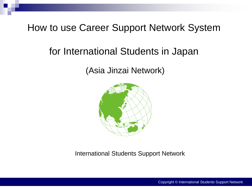## How to use Career Support Network System

# for International Students in Japan

## (Asia Jinzai Network)



International Students Support Network

Copyright © International Students Support Network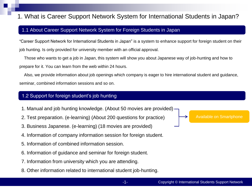## 1. What is Career Support Network System for International Students in Japan?

#### 1.1 About Career Support Network System for Foreign Students in Japan

"Career Support Network for International Students in Japan" is a system to enhance support for foreign student on their job hunting. Is only provided for university member with an official approval.

 Those who wants to get a job in Japan, this system will show you about Japanese way of job-hunting and how to prepare for it. You can learn from the web within 24 hours.

 Also, we provide information about job openings which company is eager to hire international student and guidance, seminar, combined information sessions and so on.

#### 1.2 Support for foreign student's job hunting

- 1. Manual and job hunting knowledge. (About 50 movies are provided)
- 2. Test preparation. (e-learning) (About 200 questions for practice)
- 3. Business Japanese. (e-learning) (18 movies are provided)
- 4. Information of company information session for foreign student.
- 5. Information of combined information session.
- 6. Information of guidance and seminar for foreign student.
- 7. Information from university which you are attending.
- 8. Other information related to international student job-hunting.

Available on Smartphone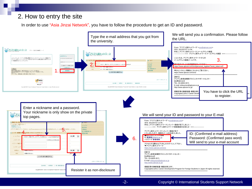## 2. How to entry the site

In order to use "Asia Jinzai Network", you have to follow the procedure to get an ID and password.

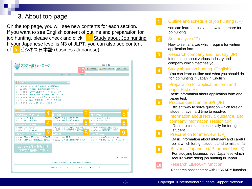## 3. About top page

On the top page, you will see new contents for each section. If you want to see English content of outline and preparation for job hunting, please check and click. **4 Study about Job hunting** If your Japanese level is N3 of JLPT, you can also see content of **9** ビジネス日本語 (business Japanese)

| アジア人助ネットワーク                                                                                                                                                                                                                                                        |                                                                                                |  | 上うこそ、あさん                                            |                |                  |  |  |
|--------------------------------------------------------------------------------------------------------------------------------------------------------------------------------------------------------------------------------------------------------------------|------------------------------------------------------------------------------------------------|--|-----------------------------------------------------|----------------|------------------|--|--|
|                                                                                                                                                                                                                                                                    |                                                                                                |  | MY PAGE                                             | MY INFORMATION | <b>IF LOGOUT</b> |  |  |
|                                                                                                                                                                                                                                                                    | MY PAGE BOARD LIST LIBRARY                                                                     |  |                                                     |                |                  |  |  |
|                                                                                                                                                                                                                                                                    |                                                                                                |  |                                                     |                |                  |  |  |
| <b>BOARD</b>                                                                                                                                                                                                                                                       | $\bullet$                                                                                      |  |                                                     |                |                  |  |  |
| ■ 11/30 20:48 2015年3月卒業者向け求人情報検索…<br>■ 11/06 15:52 2015年3月卒業者向け就職支援コン…<br>留学生就職支援ネットワークシステム利…<br>■ 11/06 15:46<br>■ 07/08 12:30 英語版 就職活動の概要コンテンツをリ…<br>■ 04/16 15:26 事務局からのお知らせ:「内定に近づく…<br>■ 03/29 21:14 留学生就職支援ネットワークシステム利…<br>■ 11/15 17:46 アジア人財ネットワーク2014年3月… |                                                                                                |  |                                                     |                |                  |  |  |
| <b>LIBRARY</b>                                                                                                                                                                                                                                                     |                                                                                                |  |                                                     |                | 3                |  |  |
| 就職活動概要・スケジュール                                                                                                                                                                                                                                                      | 自己分析<br>■ 01/09 B-4 仕事の選び方                                                                     |  | 業界·企業研究<br>■ 02/20 C-17 金融業                         |                |                  |  |  |
| ▣ 01/16 A-13 面接<br>▣ 12/12 A−12 筆記試驗                                                                                                                                                                                                                               | ■ 12/03 B-3 「自分什様書」の作り                                                                         |  | ■ 02/20 C-16 商社                                     |                |                  |  |  |
| Study about Job hunting                                                                                                                                                                                                                                            | エントリーシート・筆記試験対策                                                                                |  | SP問題集                                               |                | 6                |  |  |
| D 08/26 I-8 Interview<br>■ 08/26 I-7 Written test***<br>Ω                                                                                                                                                                                                          | ■ 12/26 D-6 学生時代に頑張ったこと<br>■ 12/26 D-5 志望動機の書き方の                                               |  | <b>■ 03/06 SP陳習問題23 集合2</b><br>■ 03/06 SP瞭習問題22 確率2 |                |                  |  |  |
| 採用情報・ガイダンス・企業説明シ                                                                                                                                                                                                                                                   | 面接対策                                                                                           |  | ビジネス日本語                                             |                | g                |  |  |
| ■ 03/06 関東地域「株式会社日立国際電気 ■ 02/06 E-8 電話·メールのマナー<br>■ 02/27 近畿地域「第2回 韓国人材対象… ■ 02/06 E-7 個人面接対策のボイント                                                                                                                                                                 |                                                                                                |  | ■ 01/31 0面接③こんなときどうする<br>■ 01/31 C面接2グループディスカッション   |                |                  |  |  |
| 2015年3月卒業者向け<br>企業求人情報は こちら                                                                                                                                                                                                                                        |                                                                                                |  |                                                     |                |                  |  |  |
|                                                                                                                                                                                                                                                                    |                                                                                                |  |                                                     |                | このページのトップへ 国     |  |  |
| 利用規約   個人情報保護方針  <br>退会申請<br>運営者情報                                                                                                                                                                                                                                 |                                                                                                |  |                                                     |                |                  |  |  |
|                                                                                                                                                                                                                                                                    | Copyright(C)2011 Career Development Program for Foreign Students in Japan All rights reserved. |  |                                                     |                |                  |  |  |

-3-

#### Outline and schedule of job hunting (JP)

You can learn outline and how to prepare for job hunting.

#### Self analyze (JP)

**2**

**3**

**4**

How to self analyze which require for writing application form.

Research company and industry (JP) Information about various industry and company which matches you.

#### Study about job hunting. (English)

You can learn outline and what you should do for job hunting in Japan in English.

#### Preparation for application form and paper test (JP)

Basic information about application form and paper test.

Practice question for SPI (JP)

Efficient way to solve question which foreign student have hard time to resolve.

Information about recruit, guidance, and company information session (JP)

Recruit information especially for foreign student.

Preparation for interview (JP)

Basic information about interview and careful point which foreign student tend to miss or fail.

**9** Business Japanese (JP for over level 3)

For studying business level Japanese which require while doing job hunting in Japan.

#### **10** Research LIBRARY function

Research past content with LIBRARY function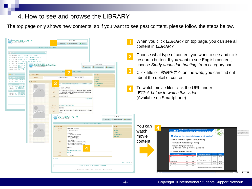### 4. How to see and browse the LIBRARY

The top page only shows new contents, so if you want to see past content, please follow the steps below.